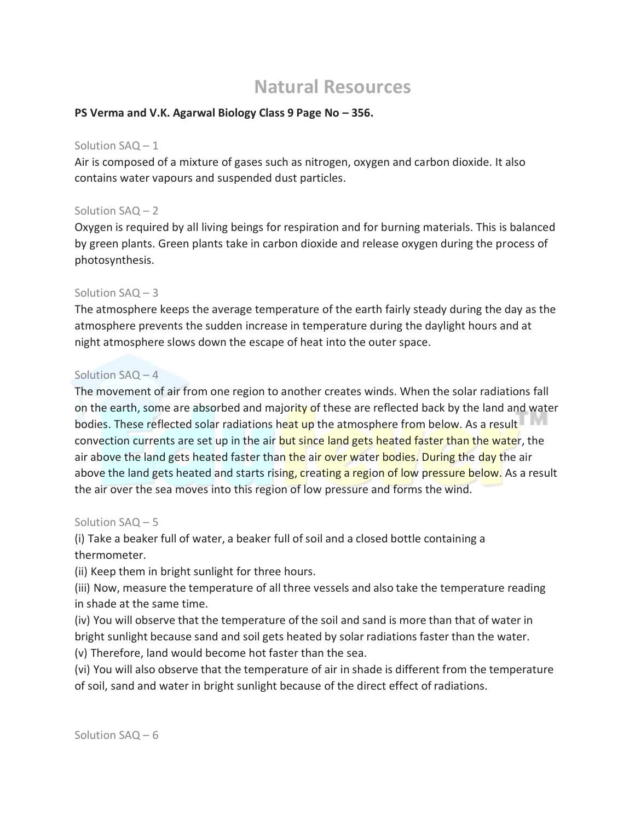# **Natural Resources**

## **PS Verma and V.K. Agarwal Biology Class 9 Page No – 356.**

## Solution SAQ – 1

Air is composed of a mixture of gases such as nitrogen, oxygen and carbon dioxide. It also contains water vapours and suspended dust particles.

# Solution SAQ – 2

Oxygen is required by all living beings for respiration and for burning materials. This is balanced by green plants. Green plants take in carbon dioxide and release oxygen during the process of photosynthesis.

# Solution SAQ – 3

The atmosphere keeps the average temperature of the earth fairly steady during the day as the atmosphere prevents the sudden increase in temperature during the daylight hours and at night atmosphere slows down the escape of heat into the outer space.

# Solution SAQ – 4

The movement of air from one region to another creates winds. When the solar radiations fall on the earth, some are absorbed and majority of these are reflected back by the land and water bodies. These reflected solar radiations heat up the atmosphere from below. As a result convection currents are set up in the air but since land gets heated faster than the water, the air above the land gets heated faster than the air over water bodies. During the day the air above the land gets heated and starts rising, creating a region of low pressure below. As a result the air over the sea moves into this region of low pressure and forms the wind.

## Solution SAQ – 5

(i) Take a beaker full of water, a beaker full of soil and a closed bottle containing a thermometer.

(ii) Keep them in bright sunlight for three hours.

(iii) Now, measure the temperature of all three vessels and also take the temperature reading in shade at the same time.

(iv) You will observe that the temperature of the soil and sand is more than that of water in bright sunlight because sand and soil gets heated by solar radiations faster than the water.

(v) Therefore, land would become hot faster than the sea.

(vi) You will also observe that the temperature of air in shade is different from the temperature of soil, sand and water in bright sunlight because of the direct effect of radiations.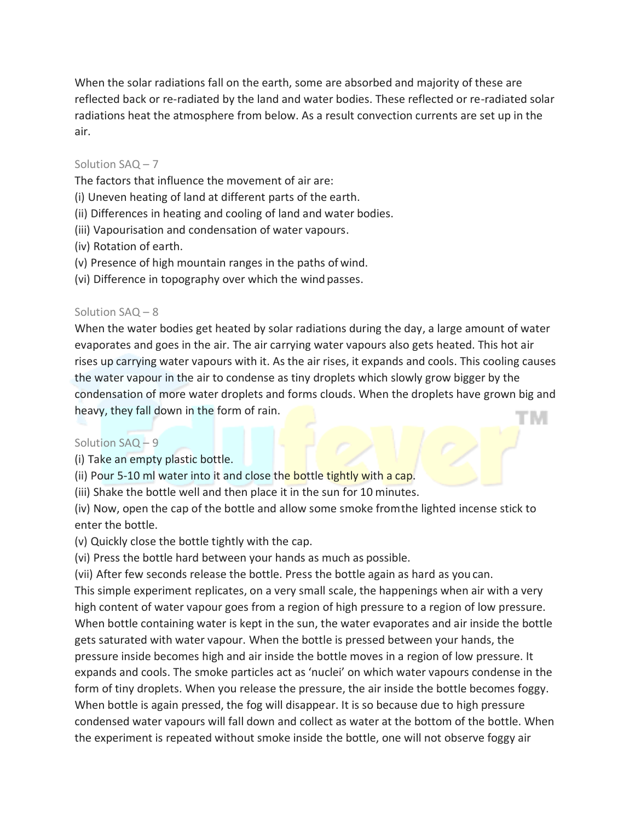When the solar radiations fall on the earth, some are absorbed and majority of these are reflected back or re-radiated by the land and water bodies. These reflected or re-radiated solar radiations heat the atmosphere from below. As a result convection currents are set up in the air.

# Solution SAQ – 7

The factors that influence the movement of air are:

- (i) Uneven heating of land at different parts of the earth.
- (ii) Differences in heating and cooling of land and water bodies.
- (iii) Vapourisation and condensation of water vapours.
- (iv) Rotation of earth.
- (v) Presence of high mountain ranges in the paths of wind.
- (vi) Difference in topography over which the wind passes.

# Solution SAQ – 8

When the water bodies get heated by solar radiations during the day, a large amount of water evaporates and goes in the air. The air carrying water vapours also gets heated. This hot air rises up carrying water vapours with it. As the air rises, it expands and cools. This cooling causes the water vapour in the air to condense as tiny droplets which slowly grow bigger by the condensation of more water droplets and forms clouds. When the droplets have grown big and heavy, they fall down in the form of rain. W

# Solution SAQ – 9

(i) Take an empty plastic bottle.

(ii) Pour 5-10 ml water into it and close the bottle tightly with a cap.

(iii) Shake the bottle well and then place it in the sun for 10 minutes.

(iv) Now, open the cap of the bottle and allow some smoke fromthe lighted incense stick to enter the bottle.

(v) Quickly close the bottle tightly with the cap.

(vi) Press the bottle hard between your hands as much as possible.

(vii) After few seconds release the bottle. Press the bottle again as hard as you can.

This simple experiment replicates, on a very small scale, the happenings when air with a very high content of water vapour goes from a region of high pressure to a region of low pressure. When bottle containing water is kept in the sun, the water evaporates and air inside the bottle gets saturated with water vapour. When the bottle is pressed between your hands, the pressure inside becomes high and air inside the bottle moves in a region of low pressure. It expands and cools. The smoke particles act as 'nuclei' on which water vapours condense in the form of tiny droplets. When you release the pressure, the air inside the bottle becomes foggy. When bottle is again pressed, the fog will disappear. It is so because due to high pressure condensed water vapours will fall down and collect as water at the bottom of the bottle. When the experiment is repeated without smoke inside the bottle, one will not observe foggy air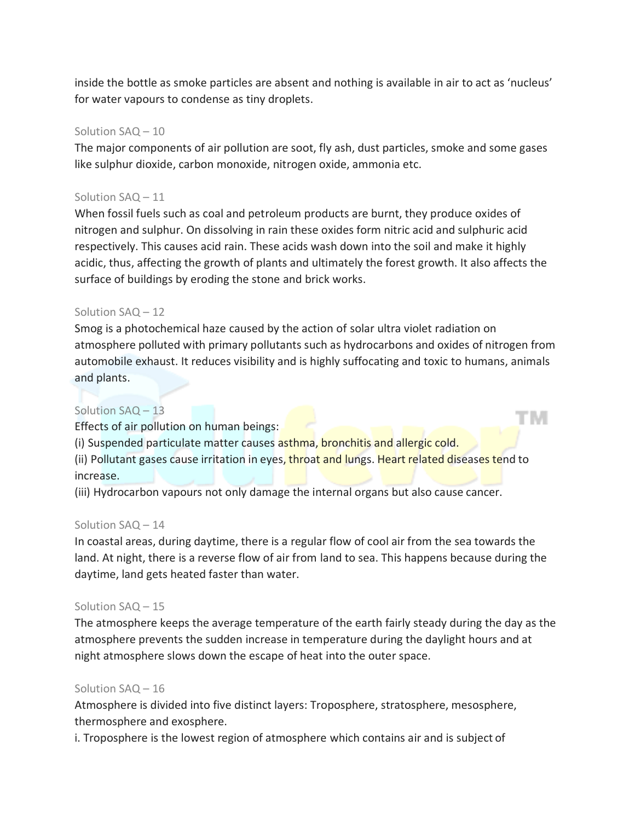inside the bottle as smoke particles are absent and nothing is available in air to act as 'nucleus' for water vapours to condense as tiny droplets.

## Solution SAQ – 10

The major components of air pollution are soot, fly ash, dust particles, smoke and some gases like sulphur dioxide, carbon monoxide, nitrogen oxide, ammonia etc.

# Solution SAQ – 11

When fossil fuels such as coal and petroleum products are burnt, they produce oxides of nitrogen and sulphur. On dissolving in rain these oxides form nitric acid and sulphuric acid respectively. This causes acid rain. These acids wash down into the soil and make it highly acidic, thus, affecting the growth of plants and ultimately the forest growth. It also affects the surface of buildings by eroding the stone and brick works.

# Solution SAQ – 12

Smog is a photochemical haze caused by the action of solar ultra violet radiation on atmosphere polluted with primary pollutants such as hydrocarbons and oxides of nitrogen from automobile exhaust. It reduces visibility and is highly suffocating and toxic to humans, animals and plants.

TW.

# Solution SAQ – 13

Effects of air pollution on human beings:

(i) Suspended particulate matter causes asthma, bronchitis and allergic cold.

(ii) Pollutant gases cause irritation in eyes, throat and lungs. Heart related diseases tend to increase.

(iii) Hydrocarbon vapours not only damage the internal organs but also cause cancer.

## Solution SAQ – 14

In coastal areas, during daytime, there is a regular flow of cool air from the sea towards the land. At night, there is a reverse flow of air from land to sea. This happens because during the daytime, land gets heated faster than water.

## Solution SAQ – 15

The atmosphere keeps the average temperature of the earth fairly steady during the day as the atmosphere prevents the sudden increase in temperature during the daylight hours and at night atmosphere slows down the escape of heat into the outer space.

## Solution SAQ – 16

Atmosphere is divided into five distinct layers: Troposphere, stratosphere, mesosphere, thermosphere and exosphere.

i. Troposphere is the lowest region of atmosphere which contains air and is subject of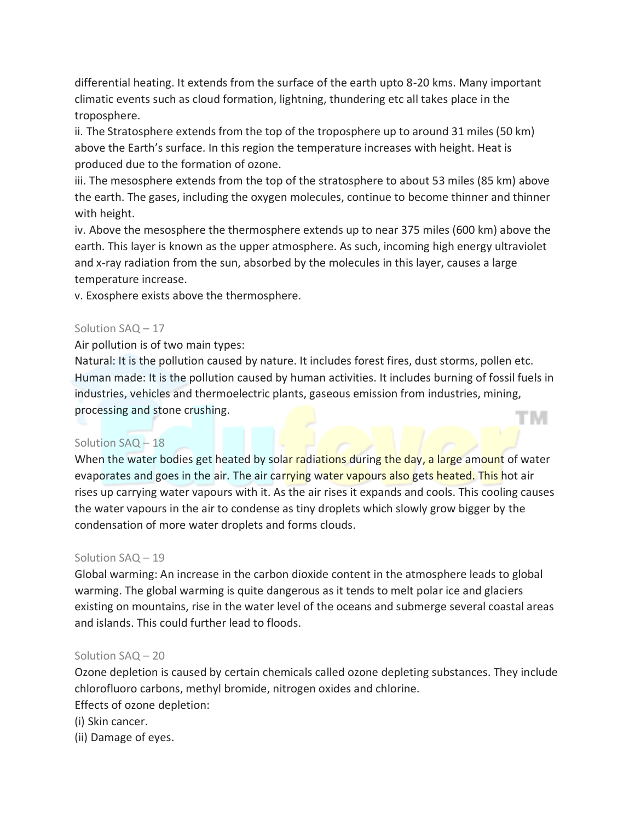differential heating. It extends from the surface of the earth upto 8-20 kms. Many important climatic events such as cloud formation, lightning, thundering etc all takes place in the troposphere.

ii. The Stratosphere extends from the top of the troposphere up to around 31 miles (50 km) above the Earth's surface. In this region the temperature increases with height. Heat is produced due to the formation of ozone.

iii. The mesosphere extends from the top of the stratosphere to about 53 miles (85 km) above the earth. The gases, including the oxygen molecules, continue to become thinner and thinner with height.

iv. Above the mesosphere the thermosphere extends up to near 375 miles (600 km) above the earth. This layer is known as the upper atmosphere. As such, incoming high energy ultraviolet and x-ray radiation from the sun, absorbed by the molecules in this layer, causes a large temperature increase.

v. Exosphere exists above the thermosphere.

# Solution SAQ – 17

Air pollution is of two main types:

Natural: It is the pollution caused by nature. It includes forest fires, dust storms, pollen etc. Human made: It is the pollution caused by human activities. It includes burning of fossil fuels in industries, vehicles and thermoelectric plants, gaseous emission from industries, mining, processing and stone crushing. TM

# Solution SAQ – 18

When the water bodies get heated by solar radiations during the day, a large amount of water evaporates and goes in the air. The air carrying water vapours also gets heated. This hot air rises up carrying water vapours with it. As the air rises it expands and cools. This cooling causes the water vapours in the air to condense as tiny droplets which slowly grow bigger by the condensation of more water droplets and forms clouds.

## Solution SAQ – 19

Global warming: An increase in the carbon dioxide content in the atmosphere leads to global warming. The global warming is quite dangerous as it tends to melt polar ice and glaciers existing on mountains, rise in the water level of the oceans and submerge several coastal areas and islands. This could further lead to floods.

## Solution SAQ – 20

Ozone depletion is caused by certain chemicals called ozone depleting substances. They include chlorofluoro carbons, methyl bromide, nitrogen oxides and chlorine. Effects of ozone depletion:

(i) Skin cancer.

(ii) Damage of eyes.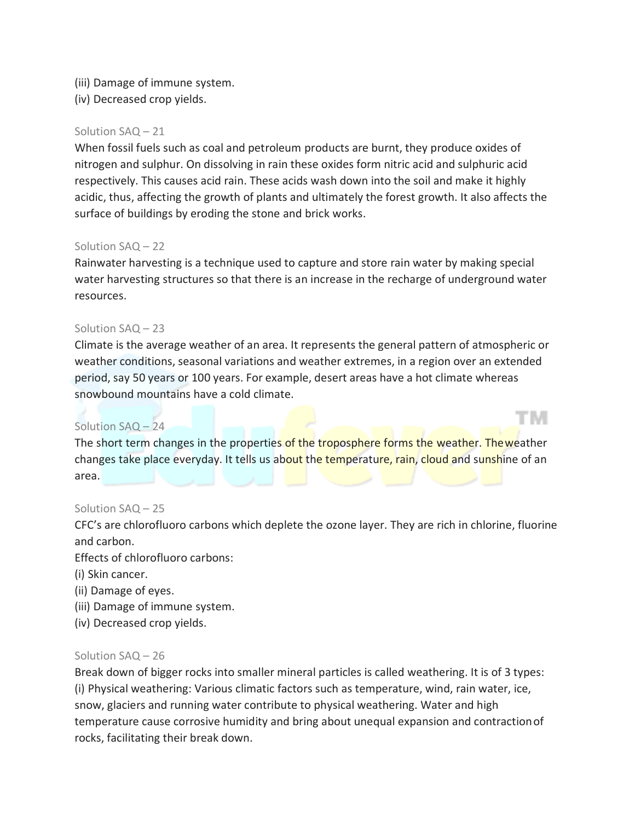- (iii) Damage of immune system.
- (iv) Decreased crop yields.

#### Solution SAQ – 21

When fossil fuels such as coal and petroleum products are burnt, they produce oxides of nitrogen and sulphur. On dissolving in rain these oxides form nitric acid and sulphuric acid respectively. This causes acid rain. These acids wash down into the soil and make it highly acidic, thus, affecting the growth of plants and ultimately the forest growth. It also affects the surface of buildings by eroding the stone and brick works.

#### Solution SAQ – 22

Rainwater harvesting is a technique used to capture and store rain water by making special water harvesting structures so that there is an increase in the recharge of underground water resources.

#### Solution SAQ – 23

Climate is the average weather of an area. It represents the general pattern of atmospheric or weather conditions, seasonal variations and weather extremes, in a region over an extended period, say 50 years or 100 years. For example, desert areas have a hot climate whereas snowbound mountains have a cold climate.

T M

# Solution SAQ – 24

The short term changes in the properties of the troposphere forms the weather. The weather changes take place everyday. It tells us about the temperature, rain, cloud and sunshine of an area.

## Solution SAQ – 25

CFC's are chlorofluoro carbons which deplete the ozone layer. They are rich in chlorine, fluorine and carbon.

Effects of chlorofluoro carbons:

- (i) Skin cancer.
- (ii) Damage of eyes.
- (iii) Damage of immune system.
- (iv) Decreased crop yields.

#### Solution SAQ – 26

Break down of bigger rocks into smaller mineral particles is called weathering. It is of 3 types: (i) Physical weathering: Various climatic factors such as temperature, wind, rain water, ice, snow, glaciers and running water contribute to physical weathering. Water and high temperature cause corrosive humidity and bring about unequal expansion and contractionof rocks, facilitating their break down.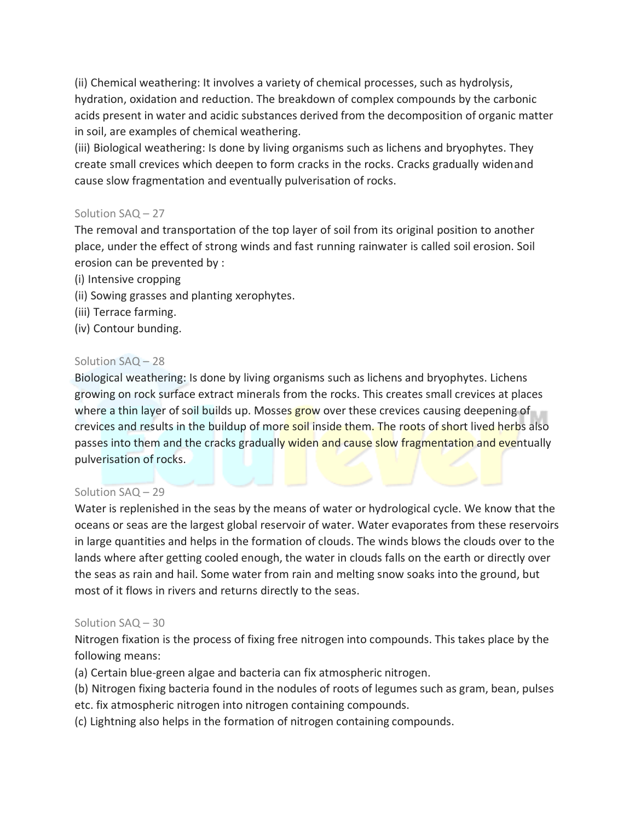(ii) Chemical weathering: It involves a variety of chemical processes, such as hydrolysis, hydration, oxidation and reduction. The breakdown of complex compounds by the carbonic acids present in water and acidic substances derived from the decomposition of organic matter in soil, are examples of chemical weathering.

(iii) Biological weathering: Is done by living organisms such as lichens and bryophytes. They create small crevices which deepen to form cracks in the rocks. Cracks gradually widenand cause slow fragmentation and eventually pulverisation of rocks.

# Solution SAQ – 27

The removal and transportation of the top layer of soil from its original position to another place, under the effect of strong winds and fast running rainwater is called soil erosion. Soil erosion can be prevented by :

- (i) Intensive cropping
- (ii) Sowing grasses and planting xerophytes.
- (iii) Terrace farming.
- (iv) Contour bunding.

# Solution SAQ – 28

Biological weathering: Is done by living organisms such as lichens and bryophytes. Lichens growing on rock surface extract minerals from the rocks. This creates small crevices at places where a thin layer of soil builds up. Mosses grow over these crevices causing deepening of crevices and results in the buildup of more soil inside them. The roots of short lived herbs also passes into them and the cracks gradually widen and cause slow fragmentation and eventually pulverisation of rocks.

# Solution SAQ – 29

Water is replenished in the seas by the means of water or hydrological cycle. We know that the oceans or seas are the largest global reservoir of water. Water evaporates from these reservoirs in large quantities and helps in the formation of clouds. The winds blows the clouds over to the lands where after getting cooled enough, the water in clouds falls on the earth or directly over the seas as rain and hail. Some water from rain and melting snow soaks into the ground, but most of it flows in rivers and returns directly to the seas.

## Solution SAQ – 30

Nitrogen fixation is the process of fixing free nitrogen into compounds. This takes place by the following means:

(a) Certain blue-green algae and bacteria can fix atmospheric nitrogen.

(b) Nitrogen fixing bacteria found in the nodules of roots of legumes such as gram, bean, pulses etc. fix atmospheric nitrogen into nitrogen containing compounds.

(c) Lightning also helps in the formation of nitrogen containing compounds.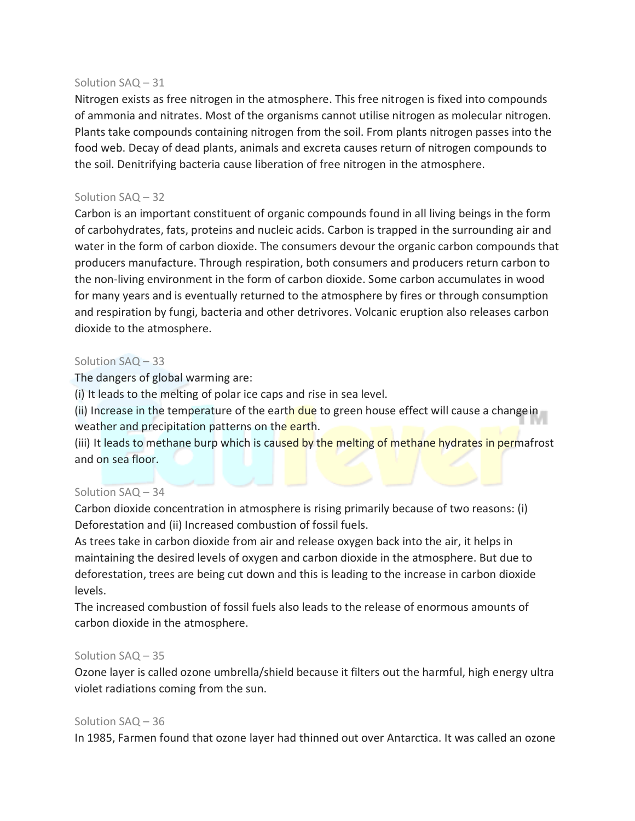## Solution SAQ – 31

Nitrogen exists as free nitrogen in the atmosphere. This free nitrogen is fixed into compounds of ammonia and nitrates. Most of the organisms cannot utilise nitrogen as molecular nitrogen. Plants take compounds containing nitrogen from the soil. From plants nitrogen passes into the food web. Decay of dead plants, animals and excreta causes return of nitrogen compounds to the soil. Denitrifying bacteria cause liberation of free nitrogen in the atmosphere.

## Solution SAQ – 32

Carbon is an important constituent of organic compounds found in all living beings in the form of carbohydrates, fats, proteins and nucleic acids. Carbon is trapped in the surrounding air and water in the form of carbon dioxide. The consumers devour the organic carbon compounds that producers manufacture. Through respiration, both consumers and producers return carbon to the non-living environment in the form of carbon dioxide. Some carbon accumulates in wood for many years and is eventually returned to the atmosphere by fires or through consumption and respiration by fungi, bacteria and other detrivores. Volcanic eruption also releases carbon dioxide to the atmosphere.

#### Solution SAQ – 33

The dangers of global warming are:

(i) It leads to the melting of polar ice caps and rise in sea level.

(ii) Increase in the temperature of the earth due to green house effect will cause a changein weather and precipitation patterns on the earth.

(iii) It leads to methane burp which is caused by the melting of methane hydrates in permafrost and on sea floor.

## Solution SAQ – 34

Carbon dioxide concentration in atmosphere is rising primarily because of two reasons: (i) Deforestation and (ii) Increased combustion of fossil fuels.

As trees take in carbon dioxide from air and release oxygen back into the air, it helps in maintaining the desired levels of oxygen and carbon dioxide in the atmosphere. But due to deforestation, trees are being cut down and this is leading to the increase in carbon dioxide levels.

The increased combustion of fossil fuels also leads to the release of enormous amounts of carbon dioxide in the atmosphere.

#### Solution SAQ – 35

Ozone layer is called ozone umbrella/shield because it filters out the harmful, high energy ultra violet radiations coming from the sun.

#### Solution SAQ – 36

In 1985, Farmen found that ozone layer had thinned out over Antarctica. It was called an ozone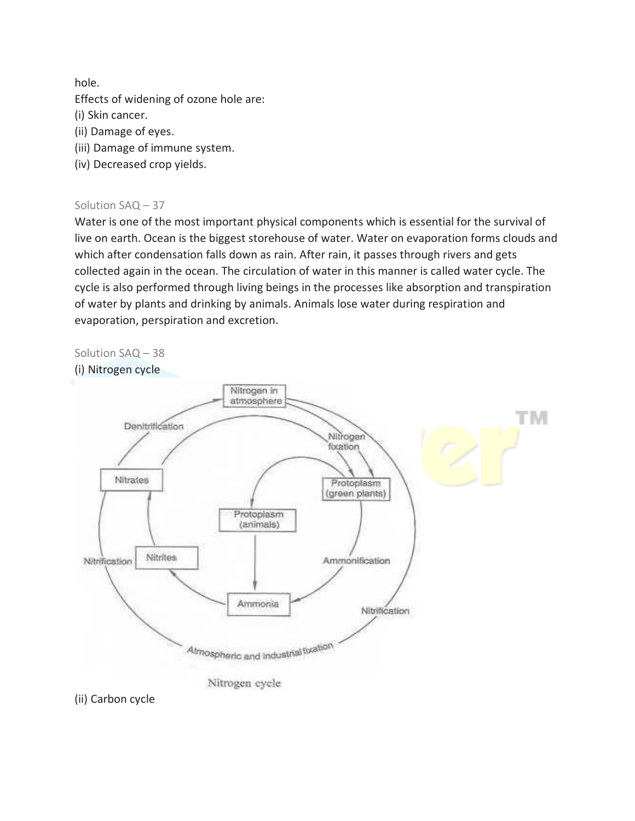hole.

Effects of widening of ozone hole are:

(i) Skin cancer.

- (ii) Damage of eyes.
- (iii) Damage of immune system.
- (iv) Decreased crop yields.

# Solution SAQ – 37

Water is one of the most important physical components which is essential for the survival of live on earth. Ocean is the biggest storehouse of water. Water on evaporation forms clouds and which after condensation falls down as rain. After rain, it passes through rivers and gets collected again in the ocean. The circulation of water in this manner is called water cycle. The cycle is also performed through living beings in the processes like absorption and transpiration of water by plants and drinking by animals. Animals lose water during respiration and evaporation, perspiration and excretion.





(ii) Carbon cycle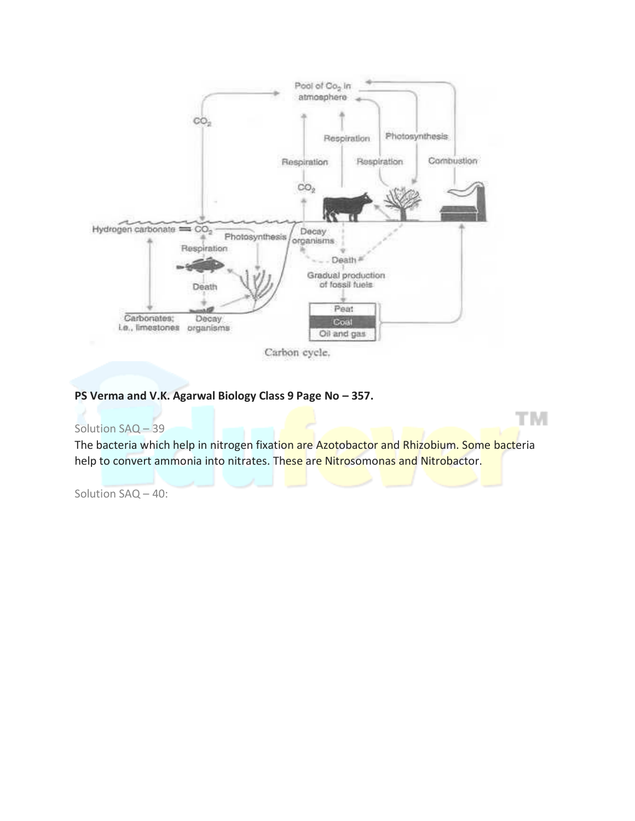

# **PS Verma and V.K. Agarwal Biology Class 9 Page No – 357.**

## Solution SAQ – 39

The bacteria which help in nitrogen fixation are Azotobactor and Rhizobium. Some bacteria help to convert ammonia into nitrates. These are Nitrosomonas and Nitrobactor.

TМ

Solution SAQ – 40: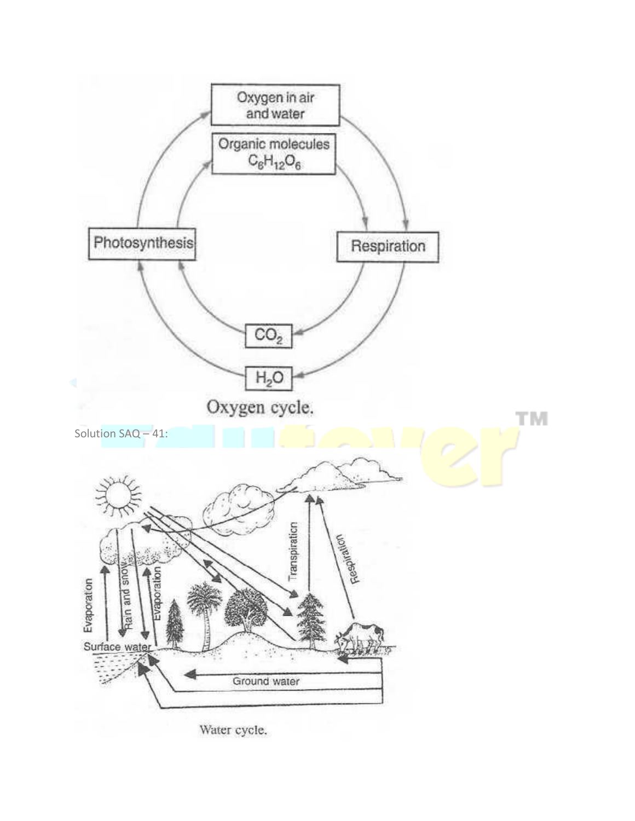

Water cycle.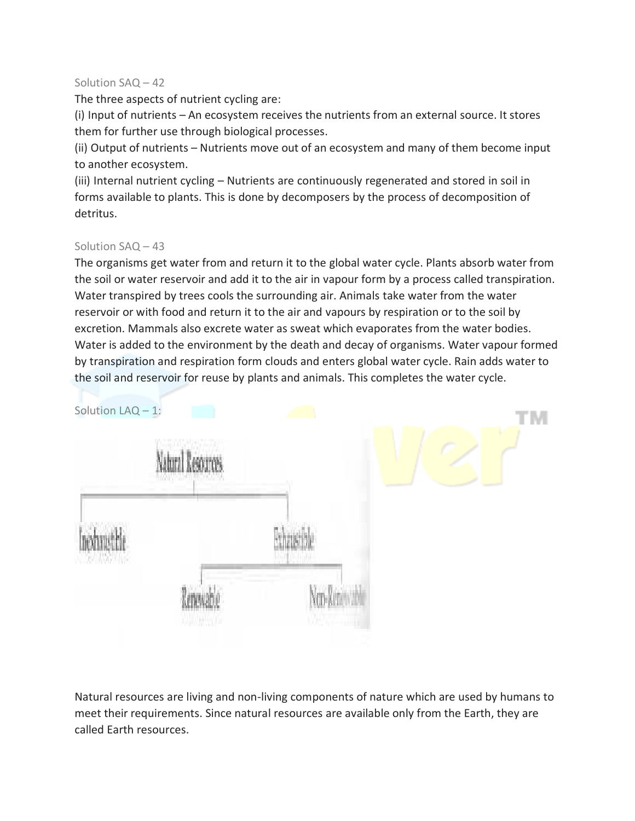## Solution SAQ – 42

The three aspects of nutrient cycling are:

(i) Input of nutrients – An ecosystem receives the nutrients from an external source. It stores them for further use through biological processes.

(ii) Output of nutrients – Nutrients move out of an ecosystem and many of them become input to another ecosystem.

(iii) Internal nutrient cycling – Nutrients are continuously regenerated and stored in soil in forms available to plants. This is done by decomposers by the process of decomposition of detritus.

# Solution SAQ – 43

The organisms get water from and return it to the global water cycle. Plants absorb water from the soil or water reservoir and add it to the air in vapour form by a process called transpiration. Water transpired by trees cools the surrounding air. Animals take water from the water reservoir or with food and return it to the air and vapours by respiration or to the soil by excretion. Mammals also excrete water as sweat which evaporates from the water bodies. Water is added to the environment by the death and decay of organisms. Water vapour formed by transpiration and respiration form clouds and enters global water cycle. Rain adds water to the soil and reservoir for reuse by plants and animals. This completes the water cycle.



Natural resources are living and non-living components of nature which are used by humans to meet their requirements. Since natural resources are available only from the Earth, they are called Earth resources.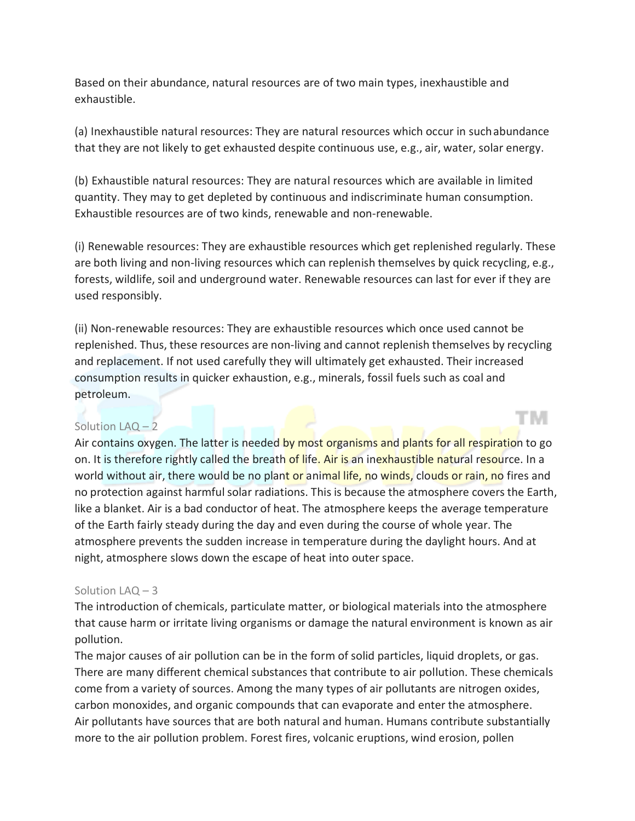Based on their abundance, natural resources are of two main types, inexhaustible and exhaustible.

(a) Inexhaustible natural resources: They are natural resources which occur in suchabundance that they are not likely to get exhausted despite continuous use, e.g., air, water, solar energy.

(b) Exhaustible natural resources: They are natural resources which are available in limited quantity. They may to get depleted by continuous and indiscriminate human consumption. Exhaustible resources are of two kinds, renewable and non-renewable.

(i) Renewable resources: They are exhaustible resources which get replenished regularly. These are both living and non-living resources which can replenish themselves by quick recycling, e.g., forests, wildlife, soil and underground water. Renewable resources can last for ever if they are used responsibly.

(ii) Non-renewable resources: They are exhaustible resources which once used cannot be replenished. Thus, these resources are non-living and cannot replenish themselves by recycling and replacement. If not used carefully they will ultimately get exhausted. Their increased consumption results in quicker exhaustion, e.g., minerals, fossil fuels such as coal and petroleum.

T M

# Solution LAQ – 2

Air contains oxygen. The latter is needed by most organisms and plants for all respiration to go on. It is therefore rightly called the breath of life. Air is an inexhaustible natural resource. In a world without air, there would be no plant or animal life, no winds, clouds or rain, no fires and no protection against harmful solar radiations. This is because the atmosphere covers the Earth, like a blanket. Air is a bad conductor of heat. The atmosphere keeps the average temperature of the Earth fairly steady during the day and even during the course of whole year. The atmosphere prevents the sudden increase in temperature during the daylight hours. And at night, atmosphere slows down the escape of heat into outer space.

## Solution LAQ – 3

The introduction of chemicals, particulate matter, or biological materials into the atmosphere that cause harm or irritate living organisms or damage the natural environment is known as air pollution.

The major causes of air pollution can be in the form of solid particles, liquid droplets, or gas. There are many different chemical substances that contribute to air pollution. These chemicals come from a variety of sources. Among the many types of air pollutants are nitrogen oxides, carbon monoxides, and organic compounds that can evaporate and enter the atmosphere. Air pollutants have sources that are both natural and human. Humans contribute substantially more to the air pollution problem. Forest fires, volcanic eruptions, wind erosion, pollen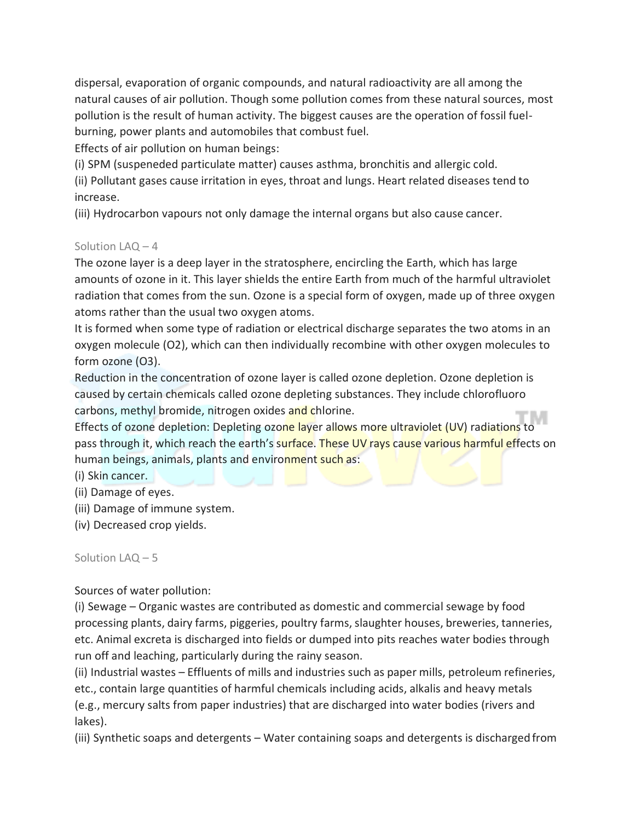dispersal, evaporation of organic compounds, and natural radioactivity are all among the natural causes of air pollution. Though some pollution comes from these natural sources, most pollution is the result of human activity. The biggest causes are the operation of fossil fuelburning, power plants and automobiles that combust fuel.

Effects of air pollution on human beings:

(i) SPM (suspeneded particulate matter) causes asthma, bronchitis and allergic cold.

(ii) Pollutant gases cause irritation in eyes, throat and lungs. Heart related diseases tend to increase.

(iii) Hydrocarbon vapours not only damage the internal organs but also cause cancer.

# Solution LAQ – 4

The ozone layer is a deep layer in the stratosphere, encircling the Earth, which has large amounts of ozone in it. This layer shields the entire Earth from much of the harmful ultraviolet radiation that comes from the sun. Ozone is a special form of oxygen, made up of three oxygen atoms rather than the usual two oxygen atoms.

It is formed when some type of radiation or electrical discharge separates the two atoms in an oxygen molecule (O2), which can then individually recombine with other oxygen molecules to form ozone (O3).

Reduction in the concentration of ozone layer is called ozone depletion. Ozone depletion is caused by certain chemicals called ozone depleting substances. They include chlorofluoro carbons, methyl bromide, nitrogen oxides and chlorine.

Effects of ozone depletion: Depleting ozone layer allows more ultraviolet (UV) radiations to pass through it, which reach the earth's surface. These UV rays cause various harmful effects on human beings, animals, plants and environment such as:

(i) Skin cancer.

(ii) Damage of eyes.

- (iii) Damage of immune system.
- (iv) Decreased crop yields.

Solution LAQ – 5

Sources of water pollution:

(i) Sewage – Organic wastes are contributed as domestic and commercial sewage by food processing plants, dairy farms, piggeries, poultry farms, slaughter houses, breweries, tanneries, etc. Animal excreta is discharged into fields or dumped into pits reaches water bodies through run off and leaching, particularly during the rainy season.

(ii) Industrial wastes – Effluents of mills and industries such as paper mills, petroleum refineries, etc., contain large quantities of harmful chemicals including acids, alkalis and heavy metals (e.g., mercury salts from paper industries) that are discharged into water bodies (rivers and lakes).

(iii) Synthetic soaps and detergents – Water containing soaps and detergents is discharged from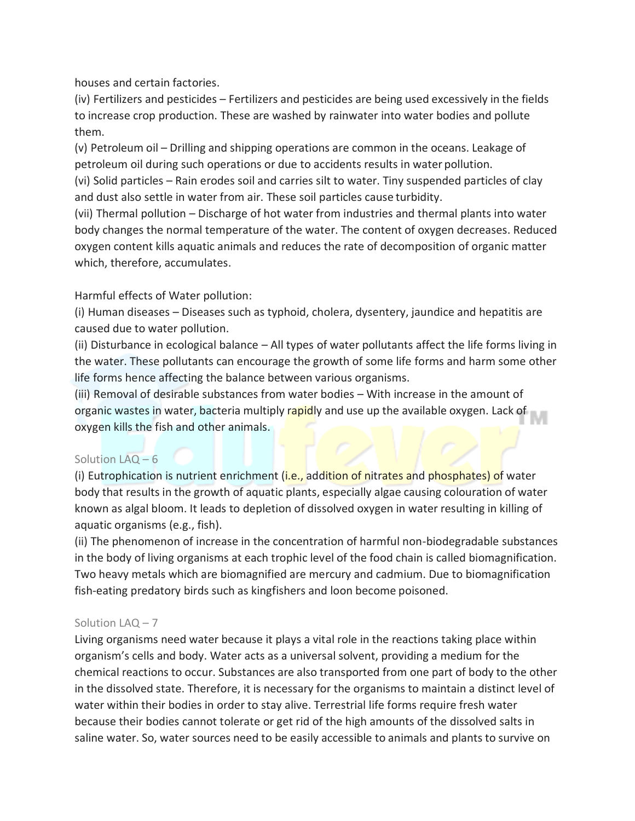houses and certain factories.

(iv) Fertilizers and pesticides – Fertilizers and pesticides are being used excessively in the fields to increase crop production. These are washed by rainwater into water bodies and pollute them.

(v) Petroleum oil – Drilling and shipping operations are common in the oceans. Leakage of petroleum oil during such operations or due to accidents results in water pollution.

(vi) Solid particles – Rain erodes soil and carries silt to water. Tiny suspended particles of clay and dust also settle in water from air. These soil particles cause turbidity.

(vii) Thermal pollution – Discharge of hot water from industries and thermal plants into water body changes the normal temperature of the water. The content of oxygen decreases. Reduced oxygen content kills aquatic animals and reduces the rate of decomposition of organic matter which, therefore, accumulates.

# Harmful effects of Water pollution:

(i) Human diseases – Diseases such as typhoid, cholera, dysentery, jaundice and hepatitis are caused due to water pollution.

(ii) Disturbance in ecological balance – All types of water pollutants affect the life forms living in the water. These pollutants can encourage the growth of some life forms and harm some other life forms hence affecting the balance between various organisms.

(iii) Removal of desirable substances from water bodies – With increase in the amount of organic wastes in water, bacteria multiply rapidly and use up the available oxygen. Lack of oxygen kills the fish and other animals.

# Solution LAQ – 6

(i) Eutrophication is nutrient enrichment (i.e., addition of nitrates and phosphates) of water body that results in the growth of aquatic plants, especially algae causing colouration of water known as algal bloom. It leads to depletion of dissolved oxygen in water resulting in killing of aquatic organisms (e.g., fish).

(ii) The phenomenon of increase in the concentration of harmful non-biodegradable substances in the body of living organisms at each trophic level of the food chain is called biomagnification. Two heavy metals which are biomagnified are mercury and cadmium. Due to biomagnification fish-eating predatory birds such as kingfishers and loon become poisoned.

# Solution LAQ – 7

Living organisms need water because it plays a vital role in the reactions taking place within organism's cells and body. Water acts as a universal solvent, providing a medium for the chemical reactions to occur. Substances are also transported from one part of body to the other in the dissolved state. Therefore, it is necessary for the organisms to maintain a distinct level of water within their bodies in order to stay alive. Terrestrial life forms require fresh water because their bodies cannot tolerate or get rid of the high amounts of the dissolved salts in saline water. So, water sources need to be easily accessible to animals and plants to survive on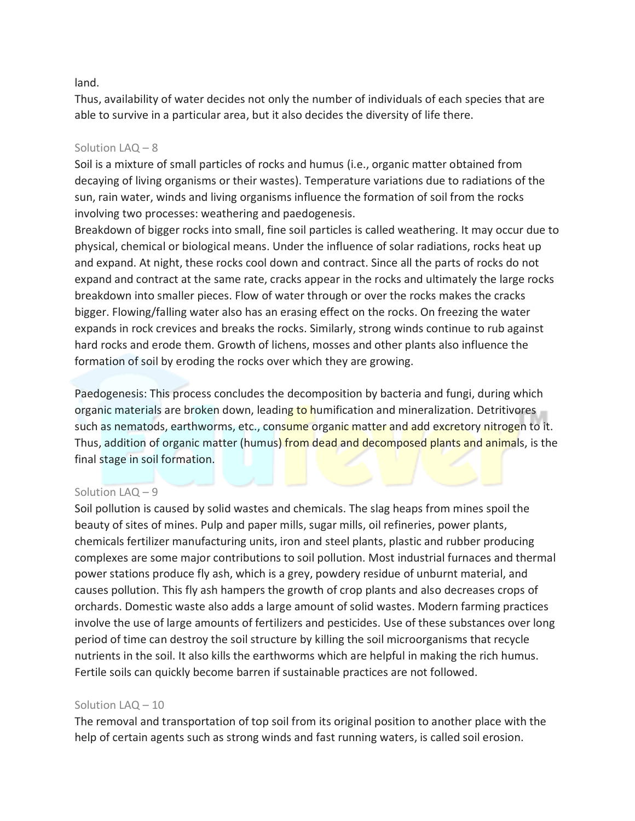#### land.

Thus, availability of water decides not only the number of individuals of each species that are able to survive in a particular area, but it also decides the diversity of life there.

## Solution LAQ – 8

Soil is a mixture of small particles of rocks and humus (i.e., organic matter obtained from decaying of living organisms or their wastes). Temperature variations due to radiations of the sun, rain water, winds and living organisms influence the formation of soil from the rocks involving two processes: weathering and paedogenesis.

Breakdown of bigger rocks into small, fine soil particles is called weathering. It may occur due to physical, chemical or biological means. Under the influence of solar radiations, rocks heat up and expand. At night, these rocks cool down and contract. Since all the parts of rocks do not expand and contract at the same rate, cracks appear in the rocks and ultimately the large rocks breakdown into smaller pieces. Flow of water through or over the rocks makes the cracks bigger. Flowing/falling water also has an erasing effect on the rocks. On freezing the water expands in rock crevices and breaks the rocks. Similarly, strong winds continue to rub against hard rocks and erode them. Growth of lichens, mosses and other plants also influence the formation of soil by eroding the rocks over which they are growing.

Paedogenesis: This process concludes the decomposition by bacteria and fungi, during which organic materials are broken down, leading to humification and mineralization. Detritivores such as nematods, earthworms, etc., consume organic matter and add excretory nitrogen to it. Thus, addition of organic matter (humus) from dead and decomposed plants and animals, is the final stage in soil formation.

# Solution LAQ – 9

Soil pollution is caused by solid wastes and chemicals. The slag heaps from mines spoil the beauty of sites of mines. Pulp and paper mills, sugar mills, oil refineries, power plants, chemicals fertilizer manufacturing units, iron and steel plants, plastic and rubber producing complexes are some major contributions to soil pollution. Most industrial furnaces and thermal power stations produce fly ash, which is a grey, powdery residue of unburnt material, and causes pollution. This fly ash hampers the growth of crop plants and also decreases crops of orchards. Domestic waste also adds a large amount of solid wastes. Modern farming practices involve the use of large amounts of fertilizers and pesticides. Use of these substances over long period of time can destroy the soil structure by killing the soil microorganisms that recycle nutrients in the soil. It also kills the earthworms which are helpful in making the rich humus. Fertile soils can quickly become barren if sustainable practices are not followed.

## Solution LAQ – 10

The removal and transportation of top soil from its original position to another place with the help of certain agents such as strong winds and fast running waters, is called soil erosion.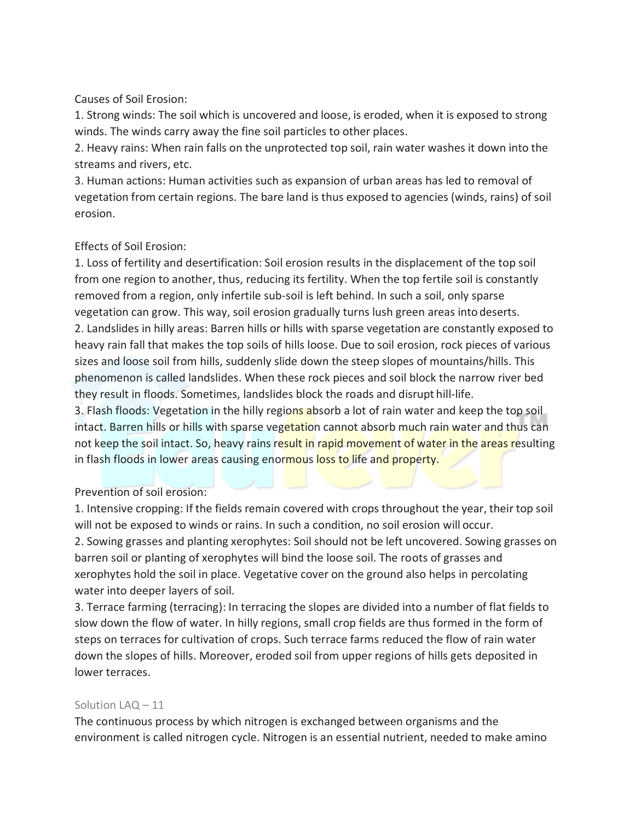Causes of Soil Erosion:

1. Strong winds: The soil which is uncovered and loose, is eroded, when it is exposed to strong winds. The winds carry away the fine soil particles to other places.

2. Heavy rains: When rain falls on the unprotected top soil, rain water washes it down into the streams and rivers, etc.

3. Human actions: Human activities such as expansion of urban areas has led to removal of vegetation from certain regions. The bare land is thus exposed to agencies (winds, rains) of soil erosion.

# Effects of Soil Erosion:

1. Loss of fertility and desertification: Soil erosion results in the displacement of the top soil from one region to another, thus, reducing its fertility. When the top fertile soil is constantly removed from a region, only infertile sub-soil is left behind. In such a soil, only sparse vegetation can grow. This way, soil erosion gradually turns lush green areas intodeserts. 2. Landslides in hilly areas: Barren hills or hills with sparse vegetation are constantly exposed to heavy rain fall that makes the top soils of hills loose. Due to soil erosion, rock pieces of various sizes and loose soil from hills, suddenly slide down the steep slopes of mountains/hills. This phenomenon is called landslides. When these rock pieces and soil block the narrow river bed they result in floods. Sometimes, landslides block the roads and disrupt hill-life.

3. Flash floods: Vegetation in the hilly regions absorb a lot of rain water and keep the top soil intact. Barren hills or hills with sparse vegetation cannot absorb much rain water and thus can not keep the soil intact. So, heavy rains result in rapid movement of water in the areas resulting in flash floods in lower areas causing enormous loss to life and property.

Prevention of soil erosion:

1. Intensive cropping: If the fields remain covered with crops throughout the year, their top soil will not be exposed to winds or rains. In such a condition, no soil erosion will occur.

2. Sowing grasses and planting xerophytes: Soil should not be left uncovered. Sowing grasses on barren soil or planting of xerophytes will bind the loose soil. The roots of grasses and xerophytes hold the soil in place. Vegetative cover on the ground also helps in percolating water into deeper layers of soil.

3. Terrace farming (terracing): In terracing the slopes are divided into a number of flat fields to slow down the flow of water. In hilly regions, small crop fields are thus formed in the form of steps on terraces for cultivation of crops. Such terrace farms reduced the flow of rain water down the slopes of hills. Moreover, eroded soil from upper regions of hills gets deposited in lower terraces.

# Solution LAQ – 11

The continuous process by which nitrogen is exchanged between organisms and the environment is called nitrogen cycle. Nitrogen is an essential nutrient, needed to make amino